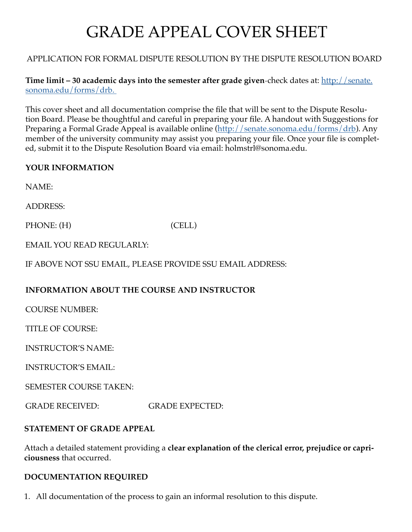# GRADE APPEAL COVER SHEET

## APPLICATION FOR FORMAL DISPUTE RESOLUTION BY THE DISPUTE RESOLUTION BOARD

**Time limit – 30 academic days into the semester after grade given-check dates at: [http://senate.](http://senate.sonoma.edu/forms/drb.  )** [sonoma.edu/forms/drb.](http://senate.sonoma.edu/forms/drb.  ) 

This cover sheet and all documentation comprise the file that will be sent to the Dispute Resolution Board. Please be thoughtful and careful in preparing your file. A handout with Suggestions for Preparing a Formal Grade Appeal is available online [\(http://senate.sonoma.edu/forms/drb\)](http://senate.sonoma.edu/forms/drb). Any member of the university community may assist you preparing your file. Once your file is completed, submit it to the Dispute Resolution Board via email: holmstrl@sonoma.edu.

#### **YOUR INFORMATION**

NAME:

ADDRESS:

PHONE: (H) (CELL)

EMAIL YOU READ REGULARLY:

IF ABOVE NOT SSU EMAIL, PLEASE PROVIDE SSU EMAIL ADDRESS:

## **INFORMATION ABOUT THE COURSE AND INSTRUCTOR**

COURSE NUMBER:

TITLE OF COURSE:

INSTRUCTOR'S NAME:

INSTRUCTOR'S EMAIL:

SEMESTER COURSE TAKEN:

GRADE RECEIVED: GRADE EXPECTED:

## **STATEMENT OF GRADE APPEAL**

Attach a detailed statement providing a **clear explanation of the clerical error, prejudice or capriciousness** that occurred.

## **DOCUMENTATION REQUIRED**

1. All documentation of the process to gain an informal resolution to this dispute.